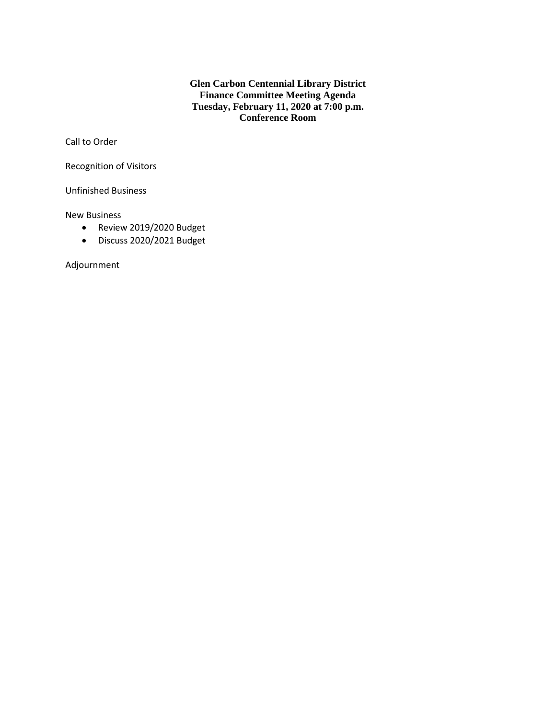**Glen Carbon Centennial Library District Finance Committee Meeting Agenda Tuesday, February 11, 2020 at 7:00 p.m. Conference Room**

Call to Order

Recognition of Visitors

Unfinished Business

New Business

- Review 2019/2020 Budget
- Discuss 2020/2021 Budget

Adjournment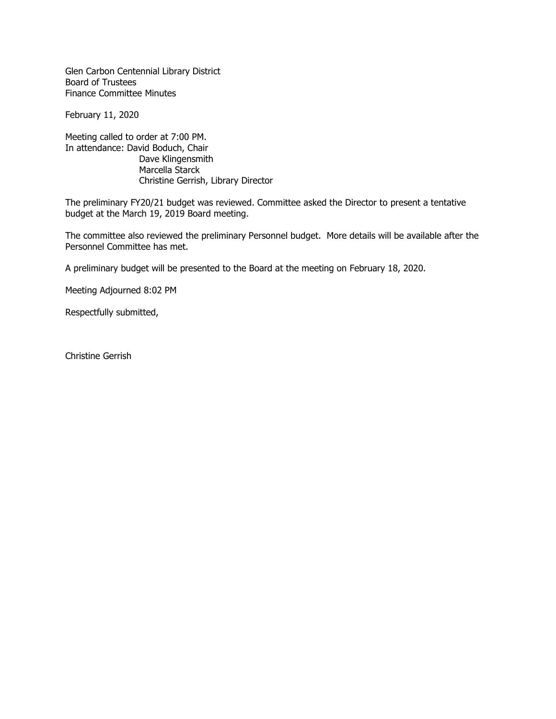Glen Carbon Centennial Library District Board of Trustees Finance Committee Minutes

February 11, 2020

Meeting called to order at 7:00 PM. In attendance: David Boduch, Chair Dave Klingensmith Marcella Starck Christine Gerrish, Library Director

The preliminary FY20/21 budget was reviewed. Committee asked the Director to present a tentative budget at the March 19, 2019 Board meeting.

The committee also reviewed the preliminary Personnel budget. More details will be available after the Personnel Committee has met.

A preliminary budget will be presented to the Board at the meeting on February 18, 2020.

Meeting Adjourned 8:02 PM

Respectfully submitted,

Christine Gerrish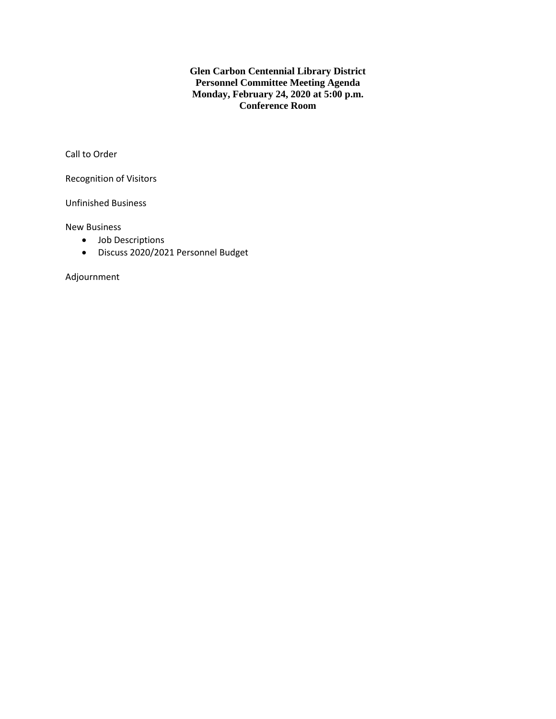**Glen Carbon Centennial Library District Personnel Committee Meeting Agenda Monday, February 24, 2020 at 5:00 p.m. Conference Room**

Call to Order

Recognition of Visitors

Unfinished Business

New Business

- Job Descriptions
- Discuss 2020/2021 Personnel Budget

Adjournment